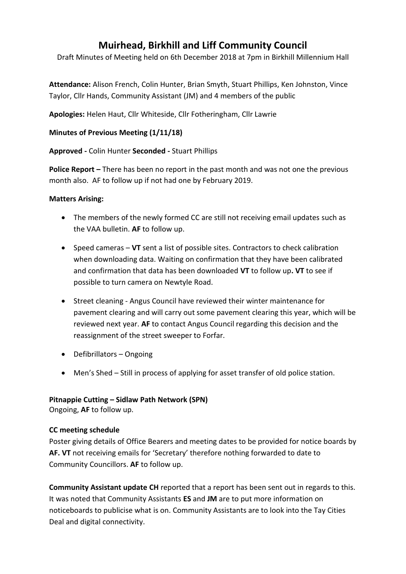# **Muirhead, Birkhill and Liff Community Council**

Draft Minutes of Meeting held on 6th December 2018 at 7pm in Birkhill Millennium Hall

**Attendance:** Alison French, Colin Hunter, Brian Smyth, Stuart Phillips, Ken Johnston, Vince Taylor, Cllr Hands, Community Assistant (JM) and 4 members of the public

**Apologies:** Helen Haut, Cllr Whiteside, Cllr Fotheringham, Cllr Lawrie

## **Minutes of Previous Meeting (1/11/18)**

## **Approved -** Colin Hunter **Seconded -** Stuart Phillips

**Police Report –** There has been no report in the past month and was not one the previous month also. AF to follow up if not had one by February 2019.

#### **Matters Arising:**

- The members of the newly formed CC are still not receiving email updates such as the VAA bulletin. **AF** to follow up.
- Speed cameras **VT** sent a list of possible sites. Contractors to check calibration when downloading data. Waiting on confirmation that they have been calibrated and confirmation that data has been downloaded **VT** to follow up**. VT** to see if possible to turn camera on Newtyle Road.
- Street cleaning Angus Council have reviewed their winter maintenance for pavement clearing and will carry out some pavement clearing this year, which will be reviewed next year. **AF** to contact Angus Council regarding this decision and the reassignment of the street sweeper to Forfar.
- Defibrillators Ongoing
- Men's Shed Still in process of applying for asset transfer of old police station.

## **Pitnappie Cutting – Sidlaw Path Network (SPN)**

Ongoing, **AF** to follow up.

## **CC meeting schedule**

Poster giving details of Office Bearers and meeting dates to be provided for notice boards by **AF. VT** not receiving emails for 'Secretary' therefore nothing forwarded to date to Community Councillors. **AF** to follow up.

**Community Assistant update CH** reported that a report has been sent out in regards to this. It was noted that Community Assistants **ES** and **JM** are to put more information on noticeboards to publicise what is on. Community Assistants are to look into the Tay Cities Deal and digital connectivity.